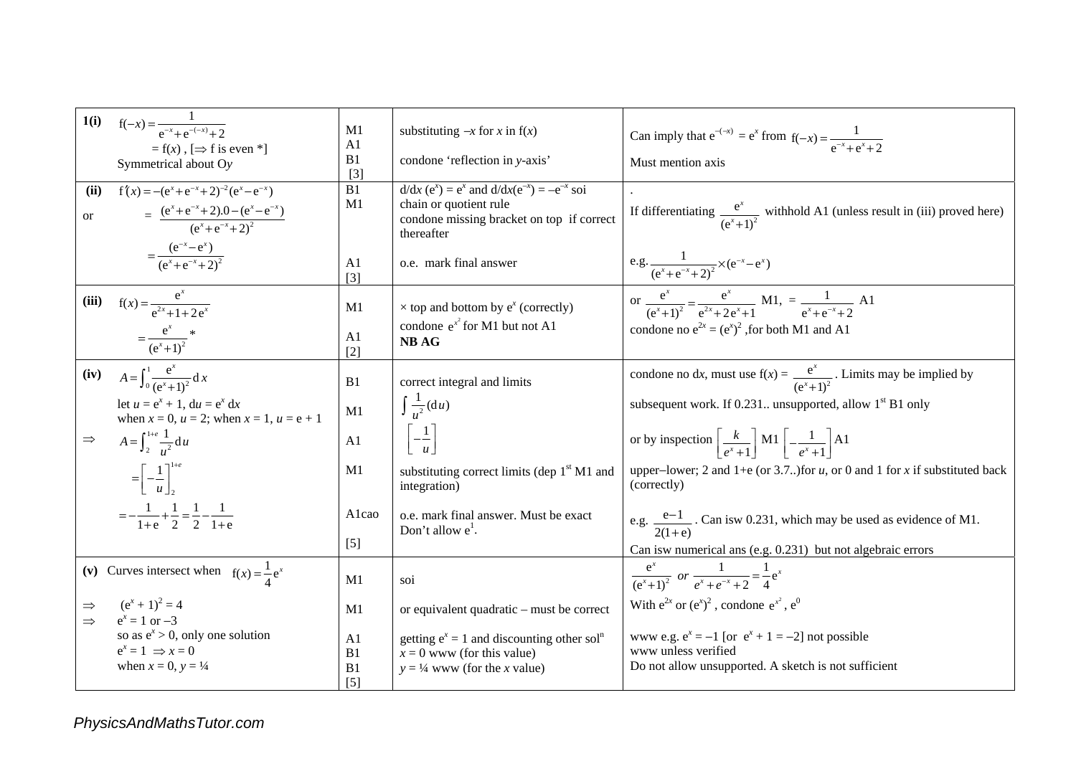|                                         | 1(i) $f(-x) = \frac{1}{e^{-x} + e^{-(-x)} + 2}$                            |                      | substituting $-x$ for x in $f(x)$                                                        | Can imply that $e^{-(x)} = e^x$ from $f(-x) = \frac{1}{e^{-x} + e^x + 2}$                   |
|-----------------------------------------|----------------------------------------------------------------------------|----------------------|------------------------------------------------------------------------------------------|---------------------------------------------------------------------------------------------|
|                                         | A1<br>$=f(x)$ , $[\Rightarrow f$ is even *]                                |                      |                                                                                          |                                                                                             |
|                                         | Symmetrical about Oy                                                       | B1                   | condone 'reflection in y-axis'                                                           | Must mention axis                                                                           |
|                                         |                                                                            | $[3]$                |                                                                                          |                                                                                             |
| (ii)                                    | $f'(x) = -(e^{x} + e^{-x} + 2)^{-2} (e^{x} - e^{-x})$                      | B1                   | $d/dx (ex) = ex$ and $d/dx(e-x) = -e-x$ soi                                              |                                                                                             |
| <sub>or</sub>                           |                                                                            | M1                   | chain or quotient rule                                                                   | If differentiating $\frac{e^x}{(e^x+1)^2}$ withhold A1 (unless result in (iii) proved here) |
|                                         | = $\frac{(e^{x}+e^{-x}+2) \cdot 0 - (e^{x}-e^{-x})}{(e^{x}+e^{-x}+2)^{2}}$ |                      | condone missing bracket on top if correct<br>thereafter                                  |                                                                                             |
|                                         |                                                                            |                      |                                                                                          |                                                                                             |
|                                         | $=\frac{(e^{-x}-e^{x})}{(e^{x}+e^{-x}+2)^{2}}$                             | A <sub>1</sub>       | o.e. mark final answer                                                                   |                                                                                             |
|                                         |                                                                            | $\lceil 3 \rceil$    |                                                                                          | e.g. $\frac{1}{(e^x+e^{-x}+2)^2} \times (e^{-x}-e^x)$                                       |
|                                         |                                                                            |                      |                                                                                          |                                                                                             |
|                                         | (iii) $f(x) = \frac{e^x}{e^{2x} + 1 + 2e^x}$                               | M1                   | $\times$ top and bottom by $e^x$ (correctly)                                             | or $\frac{e^x}{(e^x+1)^2} = \frac{e^x}{e^{2x}+2e^x+1}$ M1, $= \frac{1}{e^x+e^{-x}+2}$ A1    |
|                                         |                                                                            |                      | condone $e^{x^2}$ for M1 but not A1                                                      | condone no $e^{2x} = (e^x)^2$ , for both M1 and A1                                          |
|                                         | $=\frac{e^x}{(e^x+1)^2}$ *                                                 | A <sub>1</sub>       | <b>NB AG</b>                                                                             |                                                                                             |
|                                         |                                                                            | $[2]$                |                                                                                          |                                                                                             |
|                                         | (iv) $A = \int_0^1 \frac{e^x}{(e^x + 1)^2} dx$                             |                      |                                                                                          | condone no dx, must use $f(x) = \frac{e^x}{(e^x + 1)^2}$ . Limits may be implied by         |
|                                         |                                                                            | B1                   | correct integral and limits                                                              |                                                                                             |
|                                         | let $u = e^x + 1$ , $du = e^x dx$                                          | M1                   | $\int \frac{1}{u^2} (du)$                                                                | subsequent work. If 0.231 unsupported, allow $1st$ B1 only                                  |
|                                         | when $x = 0$ , $u = 2$ ; when $x = 1$ , $u = e + 1$                        |                      |                                                                                          |                                                                                             |
| $\Rightarrow$                           | $A = \int_{2}^{1+e} \frac{1}{u^2} du$                                      | A1                   | $-\frac{1}{u}$                                                                           | or by inspection $\left[\frac{k}{e^x+1}\right]$ M1 $\left[-\frac{1}{e^x+1}\right]$ A1       |
|                                         |                                                                            |                      |                                                                                          |                                                                                             |
|                                         |                                                                            | M1                   | substituting correct limits (dep 1 <sup>st</sup> M1 and                                  | upper-lower; 2 and 1+e (or 3.7) for $u$ , or 0 and 1 for $x$ if substituted back            |
|                                         | $=\left[-\frac{1}{u}\right]_2^{1+e}$                                       |                      | integration)                                                                             | (correctly)                                                                                 |
|                                         |                                                                            |                      |                                                                                          |                                                                                             |
|                                         | $=-\frac{1}{1+e}+\frac{1}{2}=\frac{1}{2}-\frac{1}{1+e}$                    | Alcao                | o.e. mark final answer. Must be exact                                                    | e.g. $\frac{e-1}{2(1-e)}$ . Can is w 0.231, which may be used as evidence of M1.            |
|                                         |                                                                            |                      | Don't allow $e^1$ .                                                                      | $2(1+e)$                                                                                    |
|                                         |                                                                            | $[5]$                |                                                                                          | Can is wnumerical ans (e.g. 0.231) but not algebraic errors                                 |
| (v) Curves intersect when $f(x) = -e^x$ |                                                                            |                      |                                                                                          |                                                                                             |
|                                         |                                                                            | M1                   | soi                                                                                      | $\frac{e^x}{(e^x+1)^2}$ or $\frac{1}{e^x+e^{-x}+2}=\frac{1}{4}e^x$                          |
| $\Rightarrow$                           | $(e^x + 1)^2 = 4$                                                          |                      |                                                                                          | With $e^{2x}$ or $(e^x)^2$ , condone $e^{x^2}$ , $e^0$                                      |
| $\Rightarrow$                           | $e^x = 1$ or $-3$                                                          | M1                   | or equivalent quadratic – must be correct                                                |                                                                                             |
|                                         | so as $e^x > 0$ , only one solution                                        |                      |                                                                                          | www.e.g. $e^x = -1$ [or $e^x + 1 = -2$ ] not possible                                       |
|                                         | $e^x = 1 \implies x = 0$                                                   | A <sub>1</sub><br>B1 | getting $e^x = 1$ and discounting other sol <sup>n</sup><br>$x = 0$ www (for this value) | www unless verified                                                                         |
|                                         | when $x = 0$ , $y = \frac{1}{4}$                                           | B1                   | $y = \frac{1}{4}$ www (for the x value)                                                  | Do not allow unsupported. A sketch is not sufficient                                        |
|                                         |                                                                            | $\lceil 5 \rceil$    |                                                                                          |                                                                                             |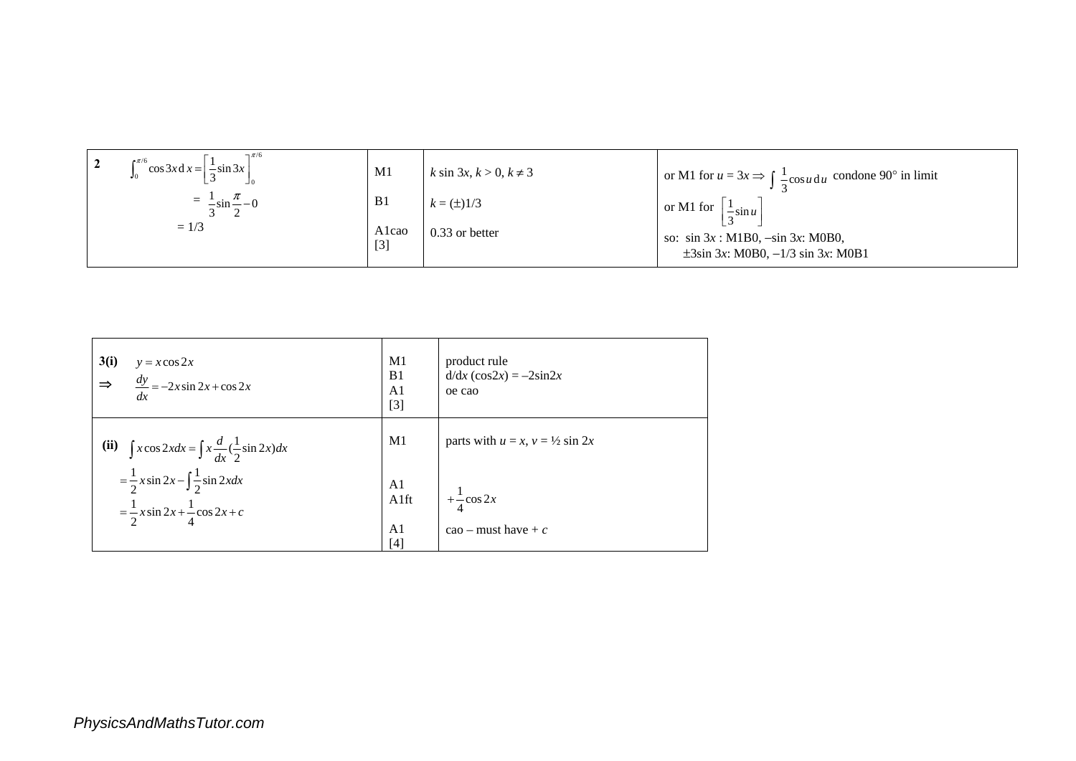| $\neg$ $\pi/6$<br>$\int_0^{\pi/6} \cos 3x dx = \frac{1}{3} \sin 3x$ | M <sub>1</sub> | $k \sin 3x, k > 0, k \neq 3$ | or M1 for $u = 3x \Rightarrow \int \frac{1}{2} \cos u \, du$ condone 90° in limit        |
|---------------------------------------------------------------------|----------------|------------------------------|------------------------------------------------------------------------------------------|
| $=\frac{1}{2} \sin \frac{\pi}{2} - 0$                               | B <sub>1</sub> | $k = (\pm)1/3$               | or M1 for $\left  \frac{1}{2} \sin u \right $                                            |
| $= 1/3$                                                             | Alcao<br>[3]   | 0.33 or better               | so: $\sin 3x$ : M1B0, $-\sin 3x$ : M0B0,<br>$\pm 3\sin 3x$ : M0B0, $-1/3 \sin 3x$ : M0B1 |

| 3(i)<br>$y = x \cos 2x$<br>$\frac{dy}{dx} = -2x \sin 2x + \cos 2x$<br>$\Rightarrow$<br>dx              | M1<br>B <sub>1</sub><br>A <sub>1</sub><br>$[3]$ | product rule<br>$d/dx$ (cos2x) = $-2\sin 2x$<br>oe cao |
|--------------------------------------------------------------------------------------------------------|-------------------------------------------------|--------------------------------------------------------|
| $\int x \cos 2x dx = \int x \frac{d}{dx} (\frac{1}{2} \sin 2x) dx$<br>(ii)                             | M1                                              | parts with $u = x$ , $v = \frac{1}{2} \sin 2x$         |
| $=\frac{1}{2}x\sin 2x - \int \frac{1}{2}\sin 2x dx$<br>$=\frac{1}{2}x\sin 2x + \frac{1}{4}\cos 2x + c$ | A1<br>A1ft<br>A <sub>1</sub><br>$[4]$           | $+\frac{1}{4}\cos 2x$<br>$\cos$ – must have + c        |